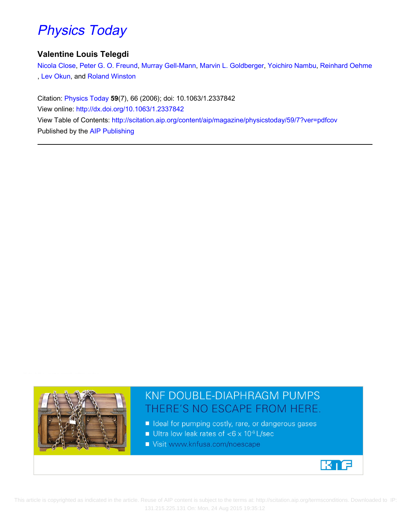# [Physics](http://scitation.aip.org/content/aip/magazine/physicstoday?ver=pdfcov) [Today](http://scitation.aip.org/content/aip/magazine/physicstoday?ver=pdfcov)

#### **Valentine Louis Telegdi**

[Nicola Close](http://scitation.aip.org/search?value1=Nicola+Close&option1=author), [Peter G. O. Freund](http://scitation.aip.org/search?value1=Peter+G.+O.+Freund&option1=author), [Murray Gell-Mann](http://scitation.aip.org/search?value1=Murray+Gell-Mann&option1=author), [Marvin L. Goldberger](http://scitation.aip.org/search?value1=Marvin+L.+Goldberger&option1=author), [Yoichiro Nambu](http://scitation.aip.org/search?value1=Yoichiro+Nambu&option1=author), [Reinhard Oehme](http://scitation.aip.org/search?value1=Reinhard+Oehme&option1=author) , [Lev Okun](http://scitation.aip.org/search?value1=Lev+Okun&option1=author), and [Roland Winston](http://scitation.aip.org/search?value1=Roland+Winston&option1=author)

Citation: [Physics Today](http://scitation.aip.org/content/aip/magazine/physicstoday?ver=pdfcov) **59**(7), 66 (2006); doi: 10.1063/1.2337842 View online: <http://dx.doi.org/10.1063/1.2337842> View Table of Contents: <http://scitation.aip.org/content/aip/magazine/physicstoday/59/7?ver=pdfcov> Published by the [AIP Publishing](http://scitation.aip.org/content/aip?ver=pdfcov)



## **KNF DOUBLE-DIAPHRAGM PUMPS** THERE'S NO ESCAPE FROM HERE.

- Ideal for pumping costly, rare, or dangerous gases
- Ultra low leak rates of  $< 6 \times 10^{-6}$  L/sec
- Visit www.knfusa.com/noescape



 This article is copyrighted as indicated in the article. Reuse of AIP content is subject to the terms at: http://scitation.aip.org/termsconditions. Downloaded to IP: 131.215.225.131 On: Mon, 24 Aug 2015 19:35:12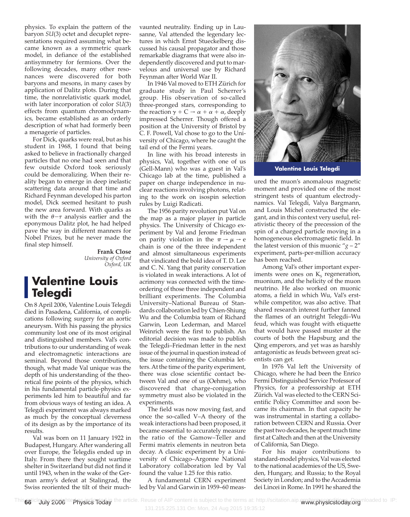physics. To explain the pattern of the baryon *SU*(3) octet and decuplet representations required assuming what became known as a symmetric quark model, in defiance of the established antisymmetry for fermions. Over the following decades, many other resonances were discovered for both baryons and mesons, in many cases by application of Dalitz plots. During that time, the nonrelativistic quark model, with later incorporation of color *SU*(3) effects from quantum chromodynamics, became established as an orderly description of what had formerly been a menagerie of particles.

For Dick, quarks were real, but as his student in 1968, I found that being asked to believe in fractionally charged particles that no one had seen and that few outside Oxford took seriously could be demoralizing. When their reality began to emerge in deep inelastic scattering data around that time and Richard Feynman developed his parton model, Dick seemed hesitant to push the new area forward. With quarks as with the  $\theta$ − $\tau$  analysis earlier and the eponymous Dalitz plot, he had helped pave the way in different manners for Nobel Prizes, but he never made the final step himself.

> **Frank Close** *University of Oxford Oxford, UK*

### **Valentine Louis Telegdi**

On 8 April 2006, Valentine Louis Telegdi died in Pasadena, California, of complications following surgery for an aortic aneurysm. With his passing the physics community lost one of its most original and distinguished members. Val's contributions to our understanding of weak and electromagnetic interactions are seminal. Beyond those contributions, though, what made Val unique was the depth of his understanding of the theoretical fine points of the physics, which in his fundamental particle-physics experiments led him to beautiful and far from obvious ways of testing an idea. A Telegdi experiment was always marked as much by the conceptual cleverness of its design as by the importance of its results.

Val was born on 11 January 1922 in Budapest, Hungary. After wandering all over Europe, the Telegdis ended up in Italy. From there they sought wartime shelter in Switzerland but did not find it until 1943, when in the wake of the German army's defeat at Stalingrad, the Swiss reoriented the tilt of their muchvaunted neutrality. Ending up in Lausanne, Val attended the legendary lectures in which Ernst Stueckelberg discussed his causal propagator and those remarkable diagrams that were also independently discovered and put to marvelous and universal use by Richard Feynman after World War II.

In 1946 Val moved to ETH Zürich for graduate study in Paul Scherrer's group. His observation of so-called three-pronged stars, corresponding to the reaction  $\gamma + C \rightarrow \alpha + \alpha + \alpha$ , deeply impressed Scherrer. Though offered a position at the University of Bristol by C. F. Powell, Val chose to go to the University of Chicago, where he caught the tail end of the Fermi years.

In line with his broad interests in physics, Val, together with one of us (Gell-Mann) who was a guest in Val's Chicago lab at the time, published a paper on charge independence in nuclear reactions involving photons, relating to the work on isospin selection rules by Luigi Radicati.

The 1956 parity revolution put Val on the map as a major player in particle physics. The University of Chicago experiment by Val and Jerome Friedman on parity violation in the  $\pi \rightarrow \mu \rightarrow e$ chain is one of the three independent and almost simultaneous experiments that vindicated the bold idea of T. D. Lee and C. N. Yang that parity conservation is violated in weak interactions. A lot of acrimony was connected with the timeordering of those three independent and brilliant experiments. The Columbia University–National Bureau of Standards collaboration led by Chien-Shiung Wu and the Columbia team of Richard Garwin, Leon Lederman, and Marcel Weinrich were the first to publish. An editorial decision was made to publish the Telegdi–Friedman letter in the next issue of the journal in question instead of the issue containing the Columbia letters. At the time of the parity experiment, there was close scientific contact between Val and one of us (Oehme), who discovered that charge-conjugation symmetry must also be violated in the experiments.

The field was now moving fast, and once the so-called V–A theory of the weak interactions had been proposed, it became essential to accurately measure the ratio of the Gamow–Teller and Fermi matrix elements in neutron beta decay. A classic experiment by a University of Chicago–Argonne National Laboratory collaboration led by Val found the value 1.25 for this ratio.

A fundamental CERN experiment led by Val and Garwin in 1959–60 meas-



**Valentine Louis Telegdi**

ured the muon's anomalous magnetic moment and provided one of the most stringent tests of quantum electrodynamics. Val Telegdi, Valya Bargmann, and Louis Michel constructed the elegant, and in this context very useful, relativistic theory of the precession of the spin of a charged particle moving in a homogeneous electromagnetic field. In the latest version of this muonic " $g - 2$ " experiment, parts-per-million accuracy has been reached.

Among Val's other important experiments were ones on  $K<sub>s</sub>$  regeneration, muonium, and the helicity of the muon neutrino. He also worked on muonic atoms, a field in which Wu, Val's erstwhile competitor, was also active. That shared research interest further fanned the flames of an outright Telegdi–Wu feud, which was fought with etiquette that would have passed muster at the courts of both the Hapsburg and the Qing emperors, and yet was as harshly antagonistic as feuds between great scientists can get.

In 1976 Val left the University of Chicago, where he had been the Enrico Fermi Distinguished Service Professor of Physics, for a professorship at ETH Zürich. Val was elected to the CERN Scientific Policy Committee and soon became its chairman. In that capacity he was instrumental in starting a collaboration between CERN and Russia. Over the past two decades, he spent much time first at Caltech and then at the University of California, San Diego.

For his major contributions to standard-model physics, Val was elected to the national academies of the US, Sweden, Hungary, and Russia; to the Royal Society in London; and to the Accademia dei Lincei in Rome. In 1991 he shared the